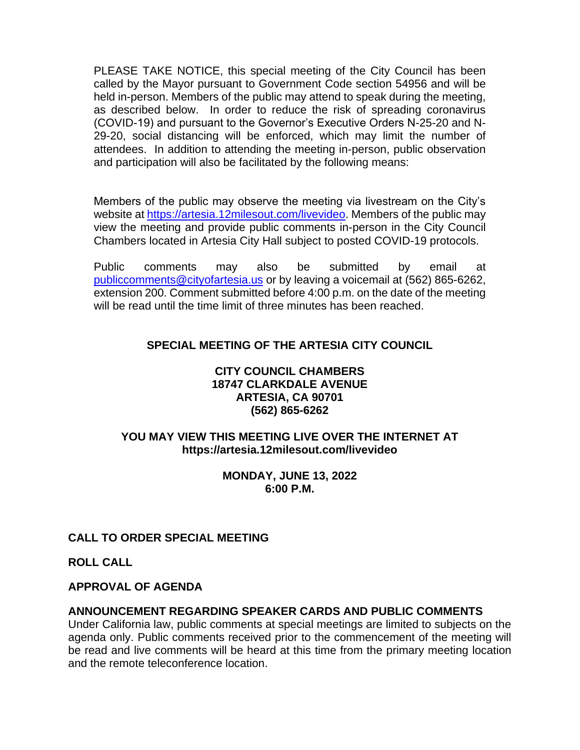PLEASE TAKE NOTICE, this special meeting of the City Council has been called by the Mayor pursuant to Government Code section 54956 and will be held in-person. Members of the public may attend to speak during the meeting, as described below. In order to reduce the risk of spreading coronavirus (COVID-19) and pursuant to the Governor's Executive Orders N-25-20 and N-29-20, social distancing will be enforced, which may limit the number of attendees. In addition to attending the meeting in-person, public observation and participation will also be facilitated by the following means:

Members of the public may observe the meeting via livestream on the City's website at [https://artesia.12milesout.com/livevideo.](https://artesia.12milesout.com/livevideo) Members of the public may view the meeting and provide public comments in-person in the City Council Chambers located in Artesia City Hall subject to posted COVID-19 protocols.

Public comments may also be submitted by email at [publiccomments@cityofartesia.us](mailto:publiccomments@cityofartesia.us) or by leaving a voicemail at (562) 865-6262, extension 200. Comment submitted before 4:00 p.m. on the date of the meeting will be read until the time limit of three minutes has been reached.

# **SPECIAL MEETING OF THE ARTESIA CITY COUNCIL**

#### **CITY COUNCIL CHAMBERS 18747 CLARKDALE AVENUE ARTESIA, CA 90701 (562) 865-6262**

## **YOU MAY VIEW THIS MEETING LIVE OVER THE INTERNET AT https://artesia.12milesout.com/livevideo**

#### **MONDAY, JUNE 13, 2022 6:00 P.M.**

# **CALL TO ORDER SPECIAL MEETING**

**ROLL CALL** 

### **APPROVAL OF AGENDA**

### **ANNOUNCEMENT REGARDING SPEAKER CARDS AND PUBLIC COMMENTS**

Under California law, public comments at special meetings are limited to subjects on the agenda only. Public comments received prior to the commencement of the meeting will be read and live comments will be heard at this time from the primary meeting location and the remote teleconference location.